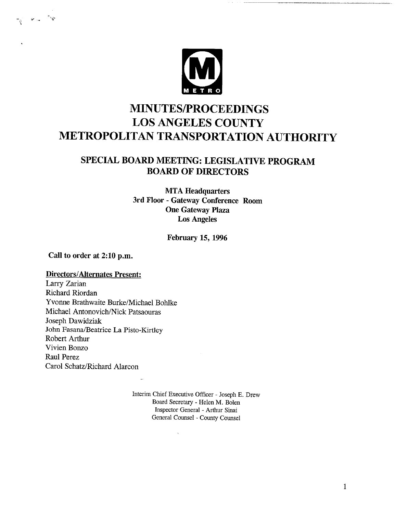

## **MINUTES/PROCEEDINGS LOS ANGELES COUNTY METROPOLITAN TRANSPORTATION AUTHORITY**

## SPECIAL BOARD MEETING: LEGISLATIVE PROGRAM **BOARD OF DIRECTORS**

**MTA** Headquarters **3rd Floor - Gateway Conference Room One Gateway** Plaza Los Angeles

**February 15, 1996**

**Call to order at 2:10 p.m.**

## **Directors/Alternates Present:** Larry Zarian Richard Riordan Yvonne Brathwaite Burke/Michael Bohlke Michael Antonovich/Nick Patsaouras

Joseph Dawidziak John Fasana/Beatrice La Pisto-Kirtley Robert Arthur Vivien Bonzo Raul Perez Carol Schatz/Richard Alarcon

> Interim Chief Executive Officer -Joseph E. Drew Board Secretary - Helen M. Bolen Inspector General - Arthur Sinai General Counsel - County Counsel

> > $\ddot{\phantom{a}}$

 $\mathbf{1}$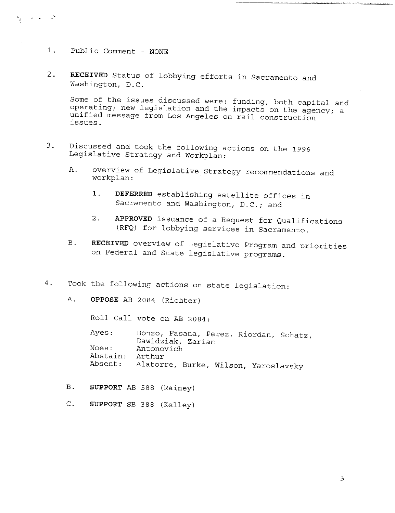i. Public Comment - NONE

 $\frac{1}{2}$  and  $\frac{1}{2}$ 

2. RECEIVED Status of lobbying efforts in Sacramento and Washington, D.C.

Some of the issues discussed were: funding, both capital and operating; new legislation and the impacts on the agency; a unified message from Los Angeles on rail construction issues.

- 3. Discussed and took the following actions on the 1996 Legislative Strategy and Workplan:
	- A. overview of Legislative Strategy recommendations and workplan:
		- i. DEFERRED establishing satellite offices in Sacramento and Washington, D.C.; and
		- 2. APPROVED issuance of a Request for Qualifications (RFQ) for lobbying services in Sacramento.
	- RECEIVED overview of Legislative Program and priorities on Federal and State legislative programs.  $B$ .
- 4. Took the following actions on state legislation:
	- A. OPPOSE AB 2084 (Richter)

Roll Call vote on AB 2084:

Ayes: Noes: Abstain: Absent: Bonzo, Fasana, Perez, Riordan, Schatz, Dawidziak, Zarian Antonovich Arthur Alatorre, Burke, Wilson, Yaroslavsky

- B. SUPPORT AB 588 (Rainey)
- $C.$ SUPPORT SB 388 (Kelley)